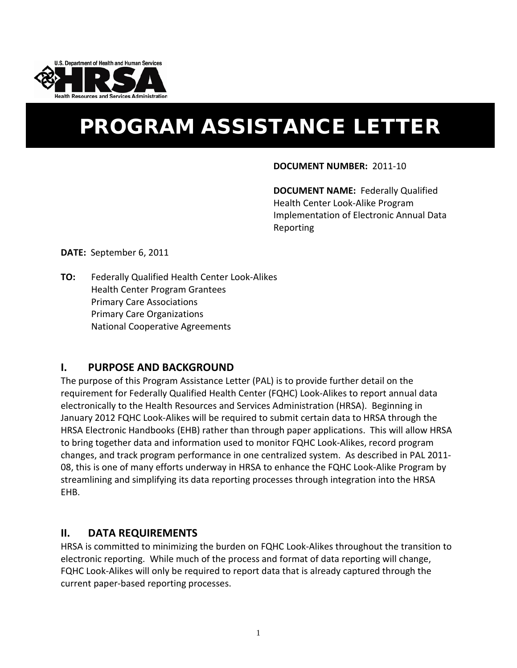

# PROGRAM ASSISTANCE LETTER

#### **DOCUMENT NUMBER:** 2011-10

**DOCUMENT NAME:** Federally Qualified Health Center Look-Alike Program Implementation of Electronic Annual Data Reporting

**DATE:** September 6, 2011

**TO:** Federally Qualified Health Center Look-Alikes Health Center Program Grantees Primary Care Associations Primary Care Organizations National Cooperative Agreements

#### **I. PURPOSE AND BACKGROUND**

The purpose of this Program Assistance Letter (PAL) is to provide further detail on the requirement for Federally Qualified Health Center (FQHC) Look-Alikes to report annual data electronically to the Health Resources and Services Administration (HRSA). Beginning in January 2012 FQHC Look-Alikes will be required to submit certain data to HRSA through the HRSA Electronic Handbooks (EHB) rather than through paper applications. This will allow HRSA to bring together data and information used to monitor FQHC Look-Alikes, record program changes, and track program performance in one centralized system. As described in PAL 2011- 08, this is one of many efforts underway in HRSA to enhance the FQHC Look-Alike Program by streamlining and simplifying its data reporting processes through integration into the HRSA EHB.

#### **II. DATA REQUIREMENTS**

HRSA is committed to minimizing the burden on FQHC Look-Alikes throughout the transition to electronic reporting. While much of the process and format of data reporting will change, FQHC Look-Alikes will only be required to report data that is already captured through the current paper-based reporting processes.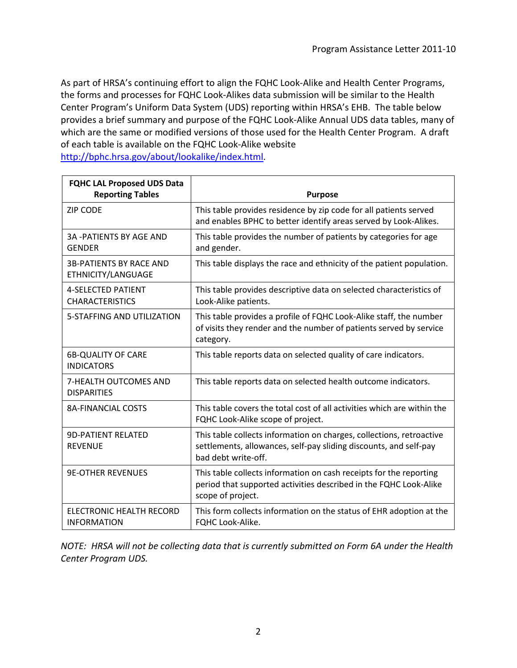As part of HRSA's continuing effort to align the FQHC Look-Alike and Health Center Programs, the forms and processes for FQHC Look-Alikes data submission will be similar to the Health Center Program's Uniform Data System (UDS) reporting within HRSA's EHB. The table below provides a brief summary and purpose of the FQHC Look-Alike Annual UDS data tables, many of which are the same or modified versions of those used for the Health Center Program. A draft of each table is available on the FQHC Look-Alike website [http://bphc.hrsa.gov/about/lookalike/index.html.](http://bphc.hrsa.gov/about/lookalike/index.html)

| <b>FQHC LAL Proposed UDS Data</b><br><b>Reporting Tables</b> | <b>Purpose</b>                                                                                                                                                   |
|--------------------------------------------------------------|------------------------------------------------------------------------------------------------------------------------------------------------------------------|
| <b>ZIP CODE</b>                                              | This table provides residence by zip code for all patients served<br>and enables BPHC to better identify areas served by Look-Alikes.                            |
| <b>3A -PATIENTS BY AGE AND</b><br><b>GENDER</b>              | This table provides the number of patients by categories for age<br>and gender.                                                                                  |
| <b>3B-PATIENTS BY RACE AND</b><br>ETHNICITY/LANGUAGE         | This table displays the race and ethnicity of the patient population.                                                                                            |
| <b>4-SELECTED PATIENT</b><br><b>CHARACTERISTICS</b>          | This table provides descriptive data on selected characteristics of<br>Look-Alike patients.                                                                      |
| 5-STAFFING AND UTILIZATION                                   | This table provides a profile of FQHC Look-Alike staff, the number<br>of visits they render and the number of patients served by service<br>category.            |
| <b>6B-QUALITY OF CARE</b><br><b>INDICATORS</b>               | This table reports data on selected quality of care indicators.                                                                                                  |
| 7-HEALTH OUTCOMES AND<br><b>DISPARITIES</b>                  | This table reports data on selected health outcome indicators.                                                                                                   |
| <b>8A-FINANCIAL COSTS</b>                                    | This table covers the total cost of all activities which are within the<br>FQHC Look-Alike scope of project.                                                     |
| <b>9D-PATIENT RELATED</b><br><b>REVENUE</b>                  | This table collects information on charges, collections, retroactive<br>settlements, allowances, self-pay sliding discounts, and self-pay<br>bad debt write-off. |
| <b>9E-OTHER REVENUES</b>                                     | This table collects information on cash receipts for the reporting<br>period that supported activities described in the FQHC Look-Alike<br>scope of project.     |
| ELECTRONIC HEALTH RECORD<br><b>INFORMATION</b>               | This form collects information on the status of EHR adoption at the<br>FOHC Look-Alike.                                                                          |

*NOTE: HRSA will not be collecting data that is currently submitted on Form 6A under the Health Center Program UDS.*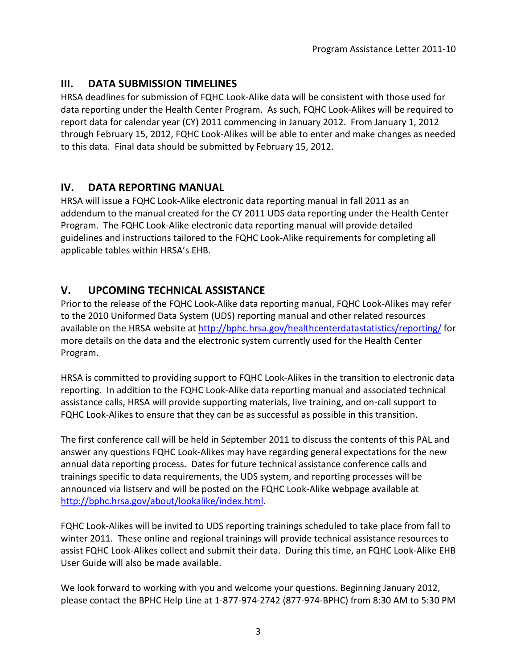## **III. DATA SUBMISSION TIMELINES**

HRSA deadlines for submission of FQHC Look-Alike data will be consistent with those used for data reporting under the Health Center Program. As such, FQHC Look-Alikes will be required to report data for calendar year (CY) 2011 commencing in January 2012. From January 1, 2012 through February 15, 2012, FQHC Look-Alikes will be able to enter and make changes as needed to this data. Final data should be submitted by February 15, 2012.

## **IV. DATA REPORTING MANUAL**

HRSA will issue a FQHC Look-Alike electronic data reporting manual in fall 2011 as an addendum to the manual created for the CY 2011 UDS data reporting under the Health Center Program. The FQHC Look-Alike electronic data reporting manual will provide detailed guidelines and instructions tailored to the FQHC Look-Alike requirements for completing all applicable tables within HRSA's EHB.

## **V. UPCOMING TECHNICAL ASSISTANCE**

Prior to the release of the FQHC Look-Alike data reporting manual, FQHC Look-Alikes may refer to the 2010 Uniformed Data System (UDS) reporting manual and other related resources available on the HRSA website at<http://bphc.hrsa.gov/healthcenterdatastatistics/reporting/> for more details on the data and the electronic system currently used for the Health Center Program.

HRSA is committed to providing support to FQHC Look-Alikes in the transition to electronic data reporting. In addition to the FQHC Look-Alike data reporting manual and associated technical assistance calls, HRSA will provide supporting materials, live training, and on-call support to FQHC Look-Alikes to ensure that they can be as successful as possible in this transition.

The first conference call will be held in September 2011 to discuss the contents of this PAL and answer any questions FQHC Look-Alikes may have regarding general expectations for the new annual data reporting process. Dates for future technical assistance conference calls and trainings specific to data requirements, the UDS system, and reporting processes will be announced via listserv and will be posted on the FQHC Look-Alike webpage available at [http://bphc.hrsa.gov/about/lookalike/index.html.](http://bphc.hrsa.gov/about/lookalike/index.html)

FQHC Look-Alikes will be invited to UDS reporting trainings scheduled to take place from fall to winter 2011. These online and regional trainings will provide technical assistance resources to assist FQHC Look-Alikes collect and submit their data. During this time, an FQHC Look-Alike EHB User Guide will also be made available.

We look forward to working with you and welcome your questions. Beginning January 2012, please contact the BPHC Help Line at 1-877-974-2742 (877-974-BPHC) from 8:30 AM to 5:30 PM